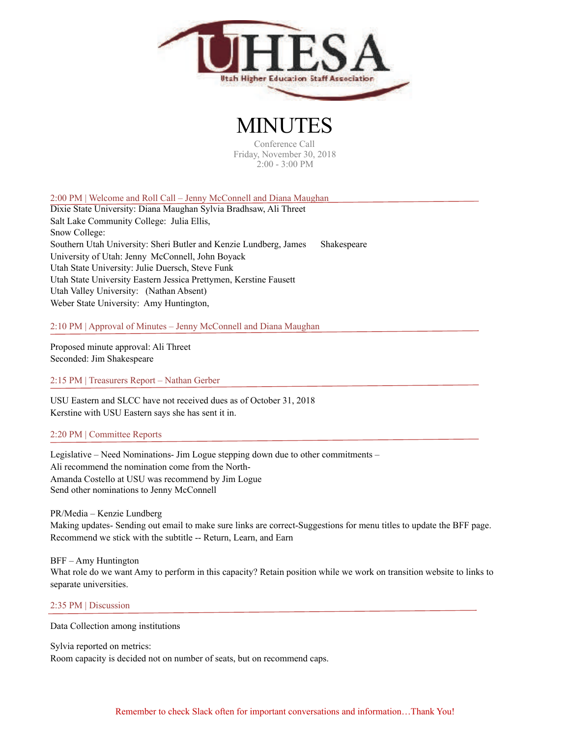

# MINUTES

Conference Call Friday, November 30, 2018 2:00 - 3:00 PM

2:00 PM | Welcome and Roll Call – Jenny McConnell and Diana Maughan

Dixie State University: Diana Maughan Sylvia Bradhsaw, Ali Threet Salt Lake Community College: Julia Ellis, Snow College: Southern Utah University: Sheri Butler and Kenzie Lundberg, James Shakespeare University of Utah: Jenny McConnell, John Boyack Utah State University: Julie Duersch, Steve Funk Utah State University Eastern Jessica Prettymen, Kerstine Fausett Utah Valley University: (Nathan Absent) Weber State University: Amy Huntington,

2:10 PM | Approval of Minutes – Jenny McConnell and Diana Maughan

Proposed minute approval: Ali Threet Seconded: Jim Shakespeare

2:15 PM | Treasurers Report – Nathan Gerber

USU Eastern and SLCC have not received dues as of October 31, 2018 Kerstine with USU Eastern says she has sent it in.

### 2:20 PM | Committee Reports

Legislative – Need Nominations- Jim Logue stepping down due to other commitments – Ali recommend the nomination come from the North-Amanda Costello at USU was recommend by Jim Logue Send other nominations to Jenny McConnell

PR/Media – Kenzie Lundberg Making updates- Sending out email to make sure links are correct-Suggestions for menu titles to update the BFF page. Recommend we stick with the subtitle -- Return, Learn, and Earn

BFF – Amy Huntington What role do we want Amy to perform in this capacity? Retain position while we work on transition website to links to separate universities.

### 2:35 PM | Discussion

Data Collection among institutions

Sylvia reported on metrics: Room capacity is decided not on number of seats, but on recommend caps.